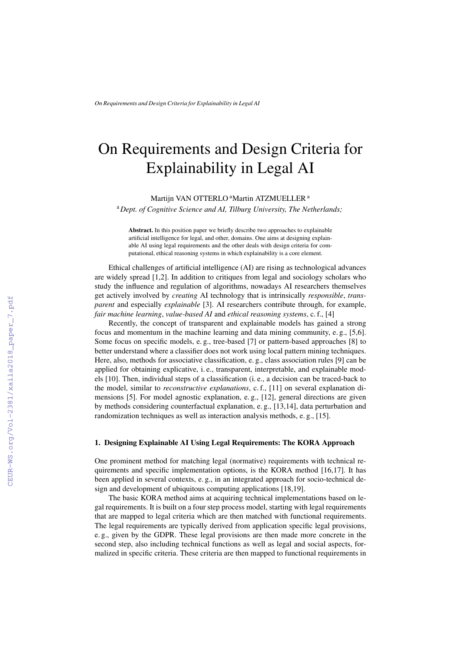# On Requirements and Design Criteria for Explainability in Legal AI

Martijn VAN OTTERLO <sup>a</sup>Martin ATZMUELLER<sup>a</sup>

<sup>a</sup>*Dept. of Cognitive Science and AI, Tilburg University, The Netherlands;*

Abstract. In this position paper we briefly describe two approaches to explainable artificial intelligence for legal, and other, domains. One aims at designing explainable AI using legal requirements and the other deals with design criteria for computational, ethical reasoning systems in which explainability is a core element.

Ethical challenges of artificial intelligence (AI) are rising as technological advances are widely spread [1,2]. In addition to critiques from legal and sociology scholars who study the influence and regulation of algorithms, nowadays AI researchers themselves get actively involved by *creating* AI technology that is intrinsically *responsible*, *transparent* and especially *explainable* [3]. AI researchers contribute through, for example, *fair machine learning*, *value-based AI* and *ethical reasoning systems*, c. f., [4]

Recently, the concept of transparent and explainable models has gained a strong focus and momentum in the machine learning and data mining community, e. g., [5,6]. Some focus on specific models, e. g., tree-based [7] or pattern-based approaches [8] to better understand where a classifier does not work using local pattern mining techniques. Here, also, methods for associative classification, e. g., class association rules [9] can be applied for obtaining explicative, i. e., transparent, interpretable, and explainable models [10]. Then, individual steps of a classification (i. e., a decision can be traced-back to the model, similar to *reconstructive explanations*, c. f., [11] on several explanation dimensions [5]. For model agnostic explanation, e. g., [12], general directions are given by methods considering counterfactual explanation, e. g., [13,14], data perturbation and randomization techniques as well as interaction analysis methods, e. g., [15].

## 1. Designing Explainable AI Using Legal Requirements: The KORA Approach

One prominent method for matching legal (normative) requirements with technical requirements and specific implementation options, is the KORA method [16,17]. It has been applied in several contexts, e. g., in an integrated approach for socio-technical design and development of ubiquitous computing applications [18,19].

The basic KORA method aims at acquiring technical implementations based on legal requirements. It is built on a four step process model, starting with legal requirements that are mapped to legal criteria which are then matched with functional requirements. The legal requirements are typically derived from application specific legal provisions, e. g., given by the GDPR. These legal provisions are then made more concrete in the second step, also including technical functions as well as legal and social aspects, formalized in specific criteria. These criteria are then mapped to functional requirements in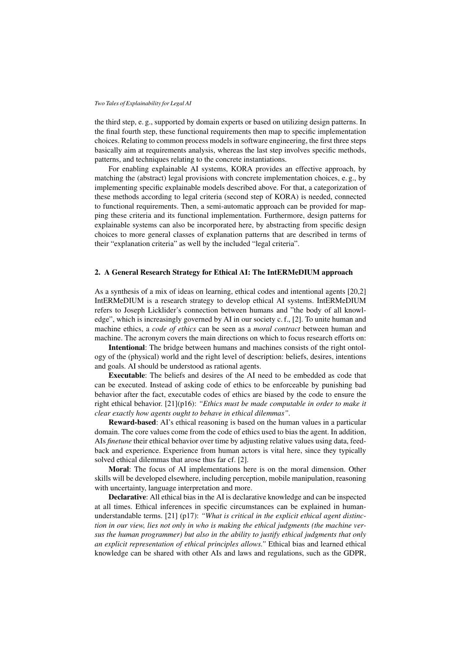#### *Two Tales of Explainability for Legal AI*

the third step, e. g., supported by domain experts or based on utilizing design patterns. In the final fourth step, these functional requirements then map to specific implementation choices. Relating to common process models in software engineering, the first three steps basically aim at requirements analysis, whereas the last step involves specific methods, patterns, and techniques relating to the concrete instantiations.

For enabling explainable AI systems, KORA provides an effective approach, by matching the (abstract) legal provisions with concrete implementation choices, e. g., by implementing specific explainable models described above. For that, a categorization of these methods according to legal criteria (second step of KORA) is needed, connected to functional requirements. Then, a semi-automatic approach can be provided for mapping these criteria and its functional implementation. Furthermore, design patterns for explainable systems can also be incorporated here, by abstracting from specific design choices to more general classes of explanation patterns that are described in terms of their "explanation criteria" as well by the included "legal criteria".

# 2. A General Research Strategy for Ethical AI: The IntERMeDIUM approach

As a synthesis of a mix of ideas on learning, ethical codes and intentional agents [20,2] IntERMeDIUM is a research strategy to develop ethical AI systems. IntERMeDIUM refers to Joseph Licklider's connection between humans and "the body of all knowledge", which is increasingly governed by AI in our society c. f., [2]. To unite human and machine ethics, a *code of ethics* can be seen as a *moral contract* between human and machine. The acronym covers the main directions on which to focus research efforts on:

Intentional: The bridge between humans and machines consists of the right ontology of the (physical) world and the right level of description: beliefs, desires, intentions and goals. AI should be understood as rational agents.

Executable: The beliefs and desires of the AI need to be embedded as code that can be executed. Instead of asking code of ethics to be enforceable by punishing bad behavior after the fact, executable codes of ethics are biased by the code to ensure the right ethical behavior. [21](p16): *"Ethics must be made computable in order to make it clear exactly how agents ought to behave in ethical dilemmas".*

Reward-based: AI's ethical reasoning is based on the human values in a particular domain. The core values come from the code of ethics used to bias the agent. In addition, AIs *finetune* their ethical behavior over time by adjusting relative values using data, feedback and experience. Experience from human actors is vital here, since they typically solved ethical dilemmas that arose thus far cf. [2].

Moral: The focus of AI implementations here is on the moral dimension. Other skills will be developed elsewhere, including perception, mobile manipulation, reasoning with uncertainty, language interpretation and more.

Declarative: All ethical bias in the AI is declarative knowledge and can be inspected at all times. Ethical inferences in specific circumstances can be explained in humanunderstandable terms. [21] (p17): *"What is critical in the explicit ethical agent distinction in our view, lies not only in who is making the ethical judgments (the machine versus the human programmer) but also in the ability to justify ethical judgments that only an explicit representation of ethical principles allows."* Ethical bias and learned ethical knowledge can be shared with other AIs and laws and regulations, such as the GDPR,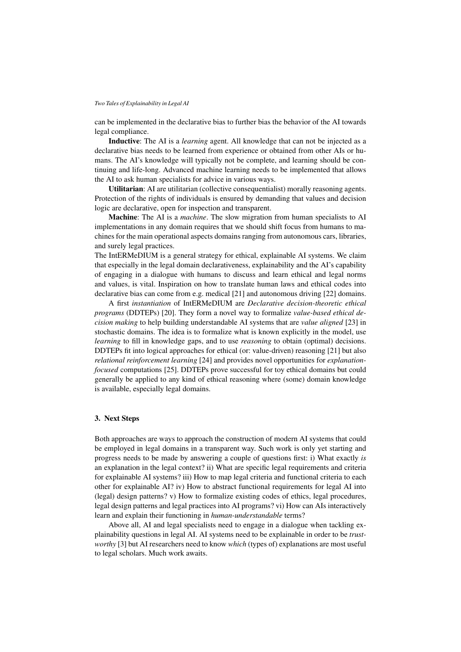### *Two Tales of Explainability in Legal AI*

can be implemented in the declarative bias to further bias the behavior of the AI towards legal compliance.

Inductive: The AI is a *learning* agent. All knowledge that can not be injected as a declarative bias needs to be learned from experience or obtained from other AIs or humans. The AI's knowledge will typically not be complete, and learning should be continuing and life-long. Advanced machine learning needs to be implemented that allows the AI to ask human specialists for advice in various ways.

Utilitarian: AI are utilitarian (collective consequentialist) morally reasoning agents. Protection of the rights of individuals is ensured by demanding that values and decision logic are declarative, open for inspection and transparent.

Machine: The AI is a *machine*. The slow migration from human specialists to AI implementations in any domain requires that we should shift focus from humans to machines for the main operational aspects domains ranging from autonomous cars, libraries, and surely legal practices.

The IntERMeDIUM is a general strategy for ethical, explainable AI systems. We claim that especially in the legal domain declarativeness, explainability and the AI's capability of engaging in a dialogue with humans to discuss and learn ethical and legal norms and values, is vital. Inspiration on how to translate human laws and ethical codes into declarative bias can come from e.g. medical [21] and autonomous driving [22] domains.

A first *instantiation* of IntERMeDIUM are *Declarative decision-theoretic ethical programs* (DDTEPs) [20]. They form a novel way to formalize *value-based ethical decision making* to help building understandable AI systems that are *value aligned* [23] in stochastic domains. The idea is to formalize what is known explicitly in the model, use *learning* to fill in knowledge gaps, and to use *reasoning* to obtain (optimal) decisions. DDTEPs fit into logical approaches for ethical (or: value-driven) reasoning [21] but also *relational reinforcement learning* [24] and provides novel opportunities for *explanationfocused* computations [25]. DDTEPs prove successful for toy ethical domains but could generally be applied to any kind of ethical reasoning where (some) domain knowledge is available, especially legal domains.

# 3. Next Steps

Both approaches are ways to approach the construction of modern AI systems that could be employed in legal domains in a transparent way. Such work is only yet starting and progress needs to be made by answering a couple of questions first: i) What exactly *is* an explanation in the legal context? ii) What are specific legal requirements and criteria for explainable AI systems? iii) How to map legal criteria and functional criteria to each other for explainable AI? iv) How to abstract functional requirements for legal AI into (legal) design patterns? v) How to formalize existing codes of ethics, legal procedures, legal design patterns and legal practices into AI programs? vi) How can AIs interactively learn and explain their functioning in *human-understandable* terms?

Above all, AI and legal specialists need to engage in a dialogue when tackling explainability questions in legal AI. AI systems need to be explainable in order to be *trustworthy* [3] but AI researchers need to know *which* (types of) explanations are most useful to legal scholars. Much work awaits.